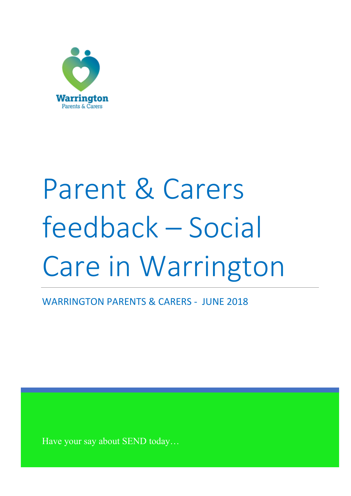

# Parent & Carers feedback – Social Care in Warrington

WARRINGTON PARENTS & CARERS - JUNE 2018

Have your say about SEND today…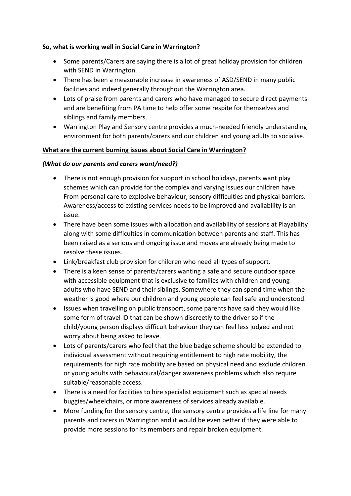## **So, what is working well in Social Care in Warrington?**

- Some parents/Carers are saying there is a lot of great holiday provision for children with SEND in Warrington.
- There has been a measurable increase in awareness of ASD/SEND in many public facilities and indeed generally throughout the Warrington area.
- Lots of praise from parents and carers who have managed to secure direct payments and are benefiting from PA time to help offer some respite for themselves and siblings and family members.
- Warrington Play and Sensory centre provides a much-needed friendly understanding environment for both parents/carers and our children and young adults to socialise.

# **What are the current burning issues about Social Care in Warrington?**

# *(What do our parents and carers want/need?)*

- There is not enough provision for support in school holidays, parents want play schemes which can provide for the complex and varying issues our children have. From personal care to explosive behaviour, sensory difficulties and physical barriers. Awareness/access to existing services needs to be improved and availability is an issue.
- There have been some issues with allocation and availability of sessions at Playability along with some difficulties in communication between parents and staff. This has been raised as a serious and ongoing issue and moves are already being made to resolve these issues.
- Link/breakfast club provision for children who need all types of support.
- There is a keen sense of parents/carers wanting a safe and secure outdoor space with accessible equipment that is exclusive to families with children and young adults who have SEND and their siblings. Somewhere they can spend time when the weather is good where our children and young people can feel safe and understood.
- Issues when travelling on public transport, some parents have said they would like some form of travel ID that can be shown discreetly to the driver so if the child/young person displays difficult behaviour they can feel less judged and not worry about being asked to leave.
- Lots of parents/carers who feel that the blue badge scheme should be extended to individual assessment without requiring entitlement to high rate mobility, the requirements for high rate mobility are based on physical need and exclude children or young adults with behavioural/danger awareness problems which also require suitable/reasonable access.
- There is a need for facilities to hire specialist equipment such as special needs buggies/wheelchairs, or more awareness of services already available.
- More funding for the sensory centre, the sensory centre provides a life line for many parents and carers in Warrington and it would be even better if they were able to provide more sessions for its members and repair broken equipment.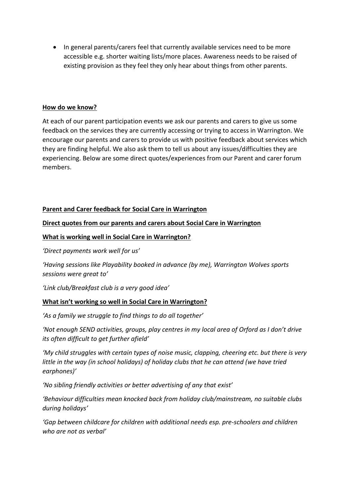• In general parents/carers feel that currently available services need to be more accessible e.g. shorter waiting lists/more places. Awareness needs to be raised of existing provision as they feel they only hear about things from other parents.

## **How do we know?**

At each of our parent participation events we ask our parents and carers to give us some feedback on the services they are currently accessing or trying to access in Warrington. We encourage our parents and carers to provide us with positive feedback about services which they are finding helpful. We also ask them to tell us about any issues/difficulties they are experiencing. Below are some direct quotes/experiences from our Parent and carer forum members.

## **Parent and Carer feedback for Social Care in Warrington**

## **Direct quotes from our parents and carers about Social Care in Warrington**

## **What is working well in Social Care in Warrington?**

*'Direct payments work well for us'*

*'Having sessions like Playability booked in advance (by me), Warrington Wolves sports sessions were great to'*

*'Link club/Breakfast club is a very good idea'*

#### **What isn't working so well in Social Care in Warrington?**

*'As a family we struggle to find things to do all together'*

*'Not enough SEND activities, groups, play centres in my local area of Orford as I don't drive its often difficult to get further afield'*

*'My child struggles with certain types of noise music, clapping, cheering etc. but there is very little in the way (in school holidays) of holiday clubs that he can attend (we have tried earphones)'*

*'No sibling friendly activities or better advertising of any that exist'*

*'Behaviour difficulties mean knocked back from holiday club/mainstream, no suitable clubs during holidays'*

*'Gap between childcare for children with additional needs esp. pre-schoolers and children who are not as verbal'*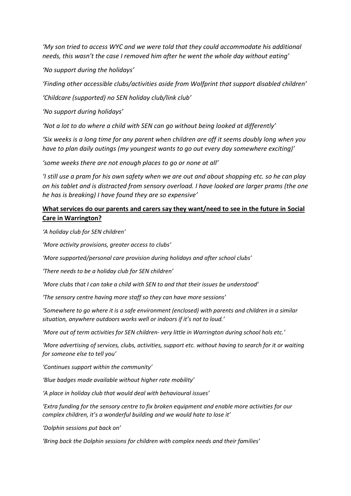*'My son tried to access WYC and we were told that they could accommodate his additional needs, this wasn't the case I removed him after he went the whole day without eating'*

*'No support during the holidays'*

*'Finding other accessible clubs/activities aside from Wolfprint that support disabled children'*

*'Childcare (supported) no SEN holiday club/link club'*

*'No support during holidays'*

*'Not a lot to do where a child with SEN can go without being looked at differently'*

*'Six weeks is a long time for any parent when children are off it seems doubly long when you have to plan daily outings (my youngest wants to go out every day somewhere exciting)'*

*'some weeks there are not enough places to go or none at all'*

*'I still use a pram for his own safety when we are out and about shopping etc. so he can play on his tablet and is distracted from sensory overload. I have looked are larger prams (the one he has is breaking) I have found they are so expensive'*

# **What services do our parents and carers say they want/need to see in the future in Social Care in Warrington?**

*'A holiday club for SEN children'*

*'More activity provisions, greater access to clubs'*

*'More supported/personal care provision during holidays and after school clubs'*

*'There needs to be a holiday club for SEN children'*

*'More clubs that I can take a child with SEN to and that their issues be understood'*

*'The sensory centre having more staff so they can have more sessions'*

*'Somewhere to go where it is a safe environment (enclosed) with parents and children in a similar situation, anywhere outdoors works well or indoors if it's not to loud.'*

*'More out of term activities for SEN children- very little in Warrington during school hols etc.'*

*'More advertising of services, clubs, activities, support etc. without having to search for it or waiting for someone else to tell you'*

*'Continues support within the community'*

*'Blue badges made available without higher rate mobility'*

*'A place in holiday club that would deal with behavioural issues'*

*'Extra funding for the sensory centre to fix broken equipment and enable more activities for our complex children, it's a wonderful building and we would hate to lose it'*

*'Dolphin sessions put back on'*

*'Bring back the Dolphin sessions for children with complex needs and their families'*